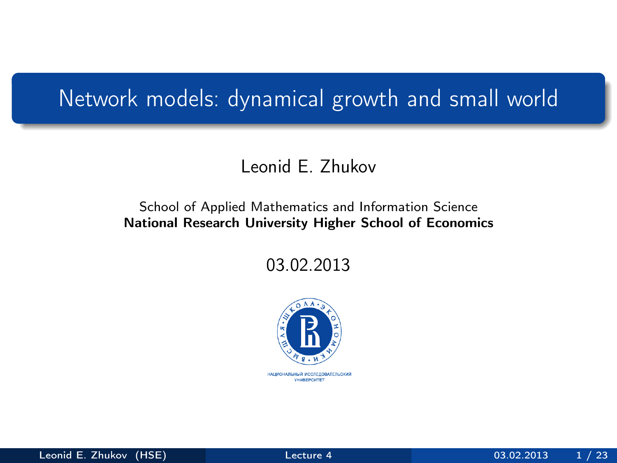## <span id="page-0-0"></span>Network models: dynamical growth and small world

#### Leonid E. Zhukov

#### School of Applied Mathematics and Information Science National Research University Higher School of Economics

03.02.2013

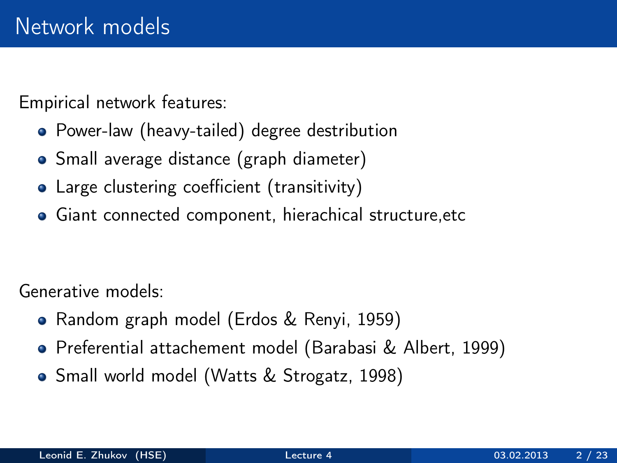Empirical network features:

- Power-law (heavy-tailed) degree destribution
- Small average distance (graph diameter)
- Large clustering coefficient (transitivity)
- Giant connected component, hierachical structure,etc

Generative models:

- Random graph model (Erdos & Renyi, 1959)
- Preferential attachement model (Barabasi & Albert, 1999)
- Small world model (Watts & Strogatz, 1998)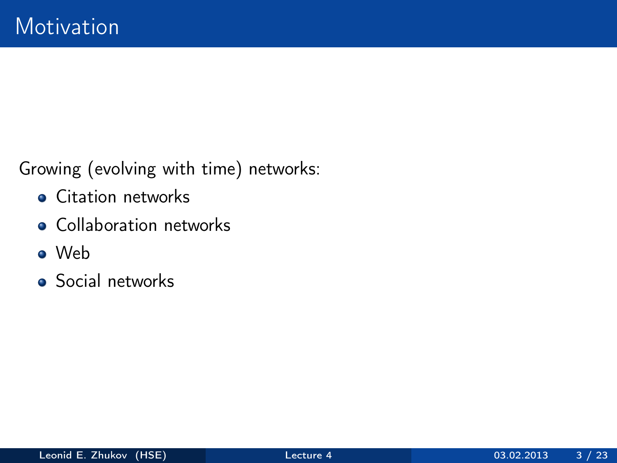Growing (evolving with time) networks:

- **•** Citation networks
- Collaboration networks
- Web
- **•** Social networks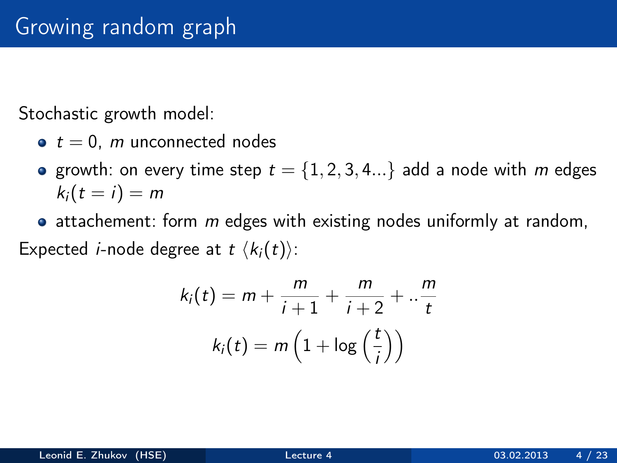Stochastic growth model:

- $\bullet t = 0$ , *m* unconnected nodes
- growth: on every time step  $t = \{1, 2, 3, 4...\}$  add a node with m edges  $k_i(t = i) = m$
- $\bullet$  attachement: form m edges with existing nodes uniformly at random, Expected *i*-node degree at  $t \langle k_i(t) \rangle$ :

$$
k_i(t) = m + \frac{m}{i+1} + \frac{m}{i+2} + \dots + \frac{m}{t}
$$

$$
k_i(t) = m\left(1 + \log\left(\frac{t}{i}\right)\right)
$$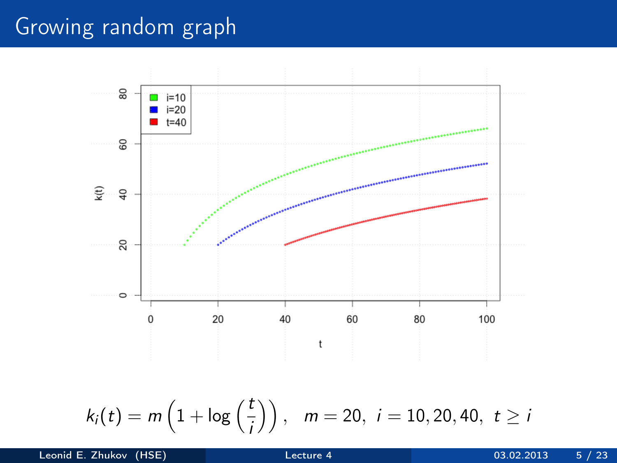## Growing random graph

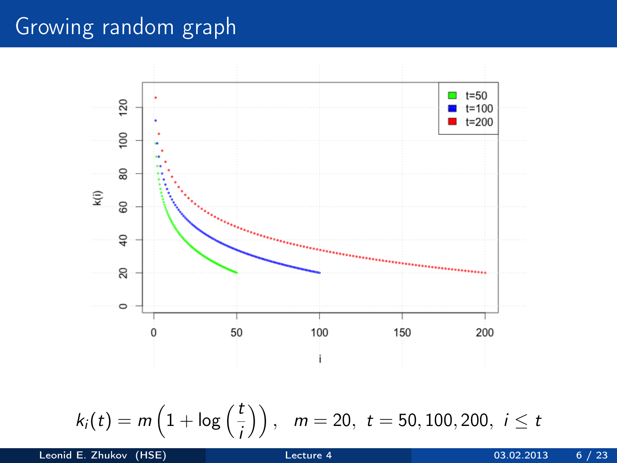## Growing random graph



$$
k_i(t) = m\left(1 + \log\left(\frac{t}{i}\right)\right), \quad m = 20, \ t = 50, 100, 200, \ i \leq t
$$

Leonid E. Zhukov (HSE) [Lecture 4](#page-0-0) 03.02.2013 6 / 23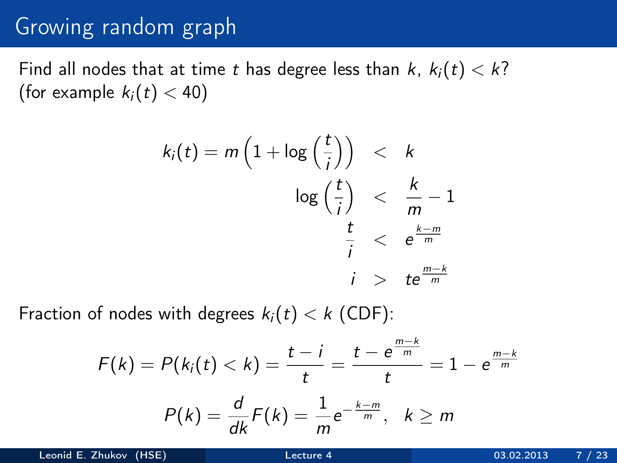#### Growing random graph

Find all nodes that at time t has degree less than  $k, k_i(t) < k$ ? (for example  $k_i(t) < 40$ )

$$
k_i(t) = m\left(1 + \log\left(\frac{t}{i}\right)\right) < k
$$
\n
$$
\log\left(\frac{t}{i}\right) < \frac{k}{m} - 1
$$
\n
$$
\frac{t}{i} < e^{\frac{k-m}{m}}
$$
\n
$$
i > t e^{\frac{m-k}{m}}
$$

Fraction of nodes with degrees  $k_i(t) < k$  (CDF):

$$
F(k) = P(ki(t) < k) = \frac{t - i}{t} = \frac{t - e^{\frac{m - k}{m}}}{t} = 1 - e^{\frac{m - k}{m}}
$$

$$
P(k) = \frac{d}{dk}F(k) = \frac{1}{m}e^{-\frac{k - m}{m}}, \quad k \ge m
$$

Leonid E. Zhukov (HSE) [Lecture 4](#page-0-0) 03.02.2013 7 / 23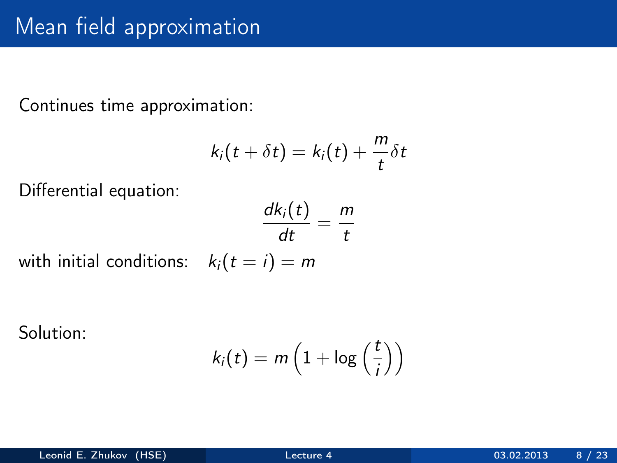## Mean field approximation

Continues time approximation:

$$
k_i(t+\delta t)=k_i(t)+\frac{m}{t}\delta t
$$

Differential equation:

$$
\frac{dk_i(t)}{dt} = \frac{m}{t}
$$

with initial conditions:  $k_i(t = i) = m$ 

Solution:

$$
k_i(t) = m\left(1 + \log\left(\frac{t}{i}\right)\right)
$$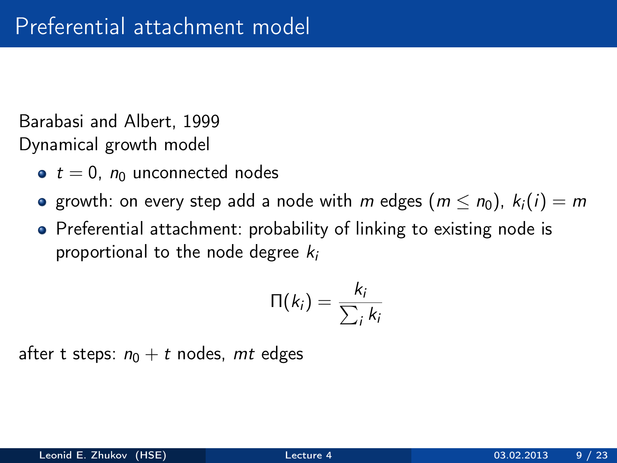Barabasi and Albert, 1999 Dynamical growth model

- $\bullet t = 0$ ,  $n_0$  unconnected nodes
- growth: on every step add a node with m edges  $(m \le n_0)$ ,  $k_i(i) = m$
- Preferential attachment: probability of linking to existing node is proportional to the node degree  $k_i$

$$
\Pi(k_i) = \frac{k_i}{\sum_i k_i}
$$

after t steps:  $n_0 + t$  nodes, mt edges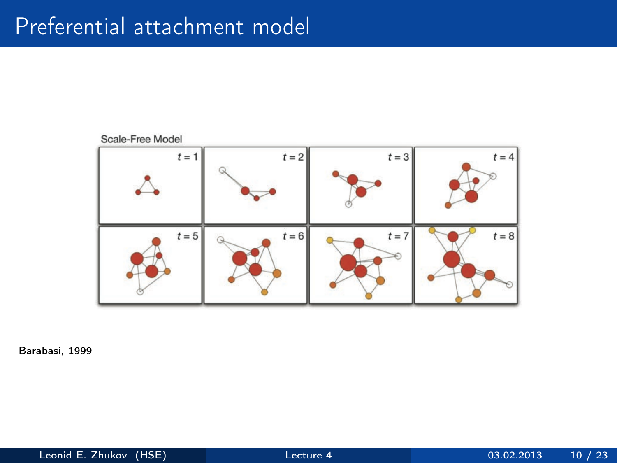## Preferential attachment model



Barabasi, 1999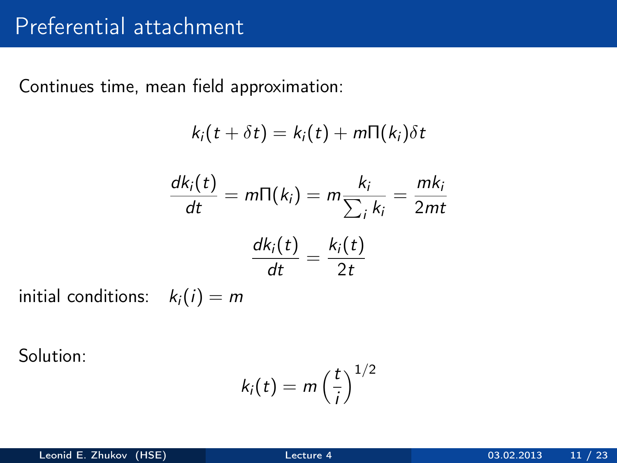Continues time, mean field approximation:

$$
k_i(t + \delta t) = k_i(t) + m\Pi(k_i)\delta t
$$

$$
\frac{dk_i(t)}{dt} = m\Pi(k_i) = m\frac{k_i}{\sum_i k_i} = \frac{mk_i}{2mt}
$$

$$
\frac{dk_i(t)}{dt} = \frac{k_i(t)}{2t}
$$

initial conditions:  $k_i(i) = m$ 

Solution:

$$
k_i(t) = m\left(\frac{t}{i}\right)^{1/2}
$$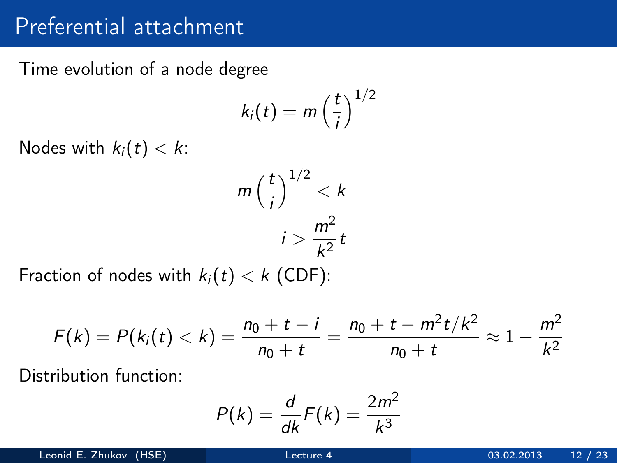#### Preferential attachment

Time evolution of a node degree

$$
k_i(t) = m\left(\frac{t}{i}\right)^{1/2}
$$

Nodes with  $k_i(t) < k$ :

$$
m\left(\frac{t}{i}\right)^{1/2} < k
$$
\n
$$
i > \frac{m^2}{k^2}t
$$

Fraction of nodes with  $k_i(t) < k$  (CDF):

$$
F(k) = P(ki(t) < k) = \frac{n_0 + t - i}{n_0 + t} = \frac{n_0 + t - m^2t/k^2}{n_0 + t} \approx 1 - \frac{m^2}{k^2}
$$

Distribution function:

$$
P(k) = \frac{d}{dk}F(k) = \frac{2m^2}{k^3}
$$

Leonid E. Zhukov (HSE) [Lecture 4](#page-0-0) 03.02.2013 12 / 23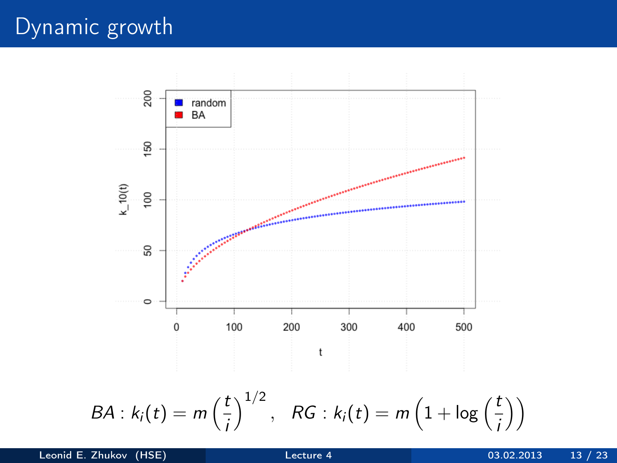## Dynamic growth

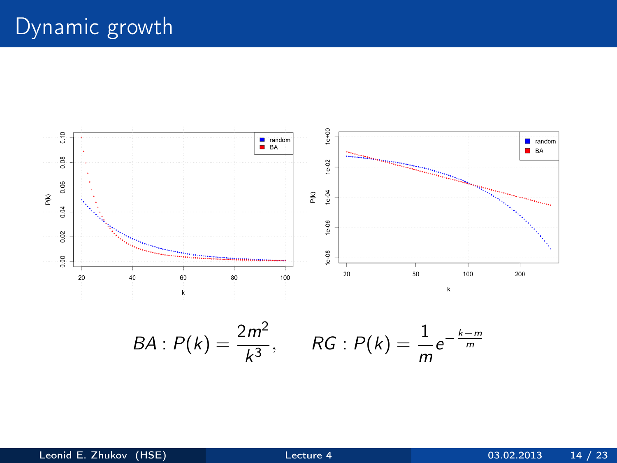# Dynamic growth



$$
BA : P(k) = \frac{2m^2}{k^3}, \qquad RG : P(k) = \frac{1}{m}e^{-\frac{k-m}{m}}
$$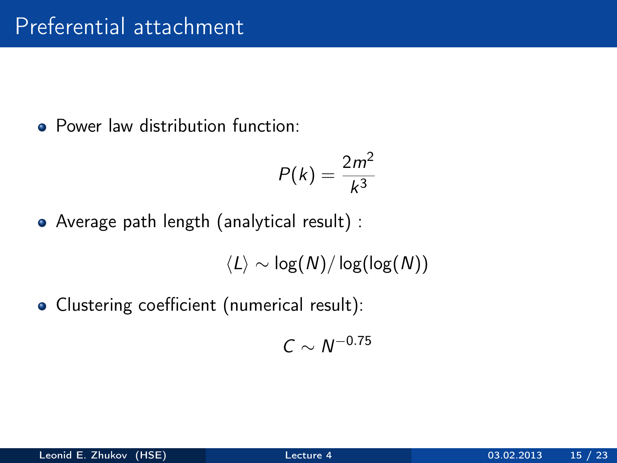• Power law distribution function:

$$
P(k)=\frac{2m^2}{k^3}
$$

Average path length (analytical result) :

 $\langle L \rangle \sim \log(N) / \log(\log(N))$ 

• Clustering coefficient (numerical result):

$$
C\sim\textit{N}^{-0.75}
$$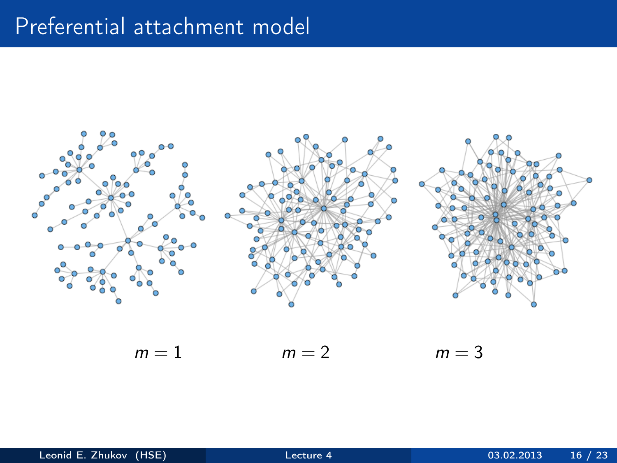## Preferential attachment model



 $m = 1$   $m = 2$   $m = 3$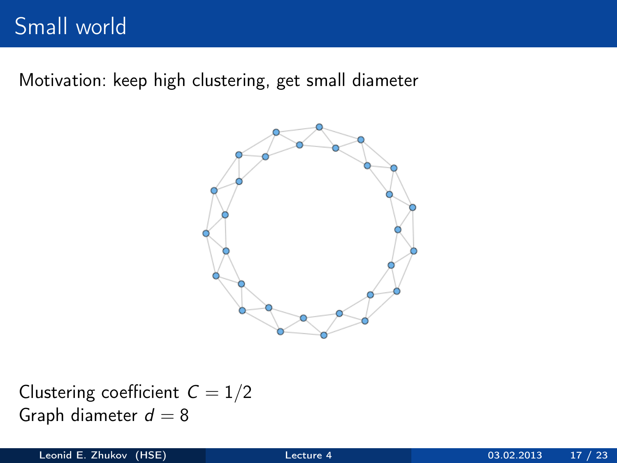## Small world

Motivation: keep high clustering, get small diameter



Clustering coefficient  $C = 1/2$ Graph diameter  $d = 8$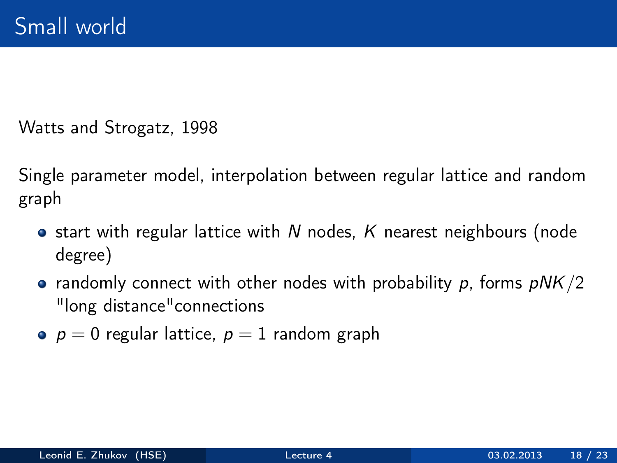Watts and Strogatz, 1998

Single parameter model, interpolation between regular lattice and random graph

- **•** start with regular lattice with N nodes, K nearest neighbours (node degree)
- randomly connect with other nodes with probability p, forms  $pNK/2$ "long distance"connections
- $p = 0$  regular lattice,  $p = 1$  random graph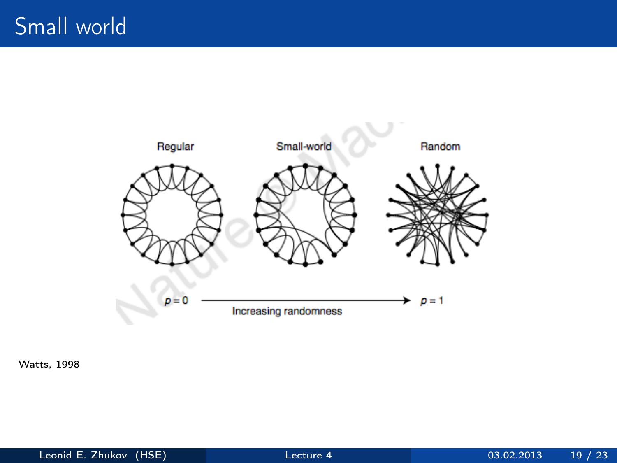

Watts, 1998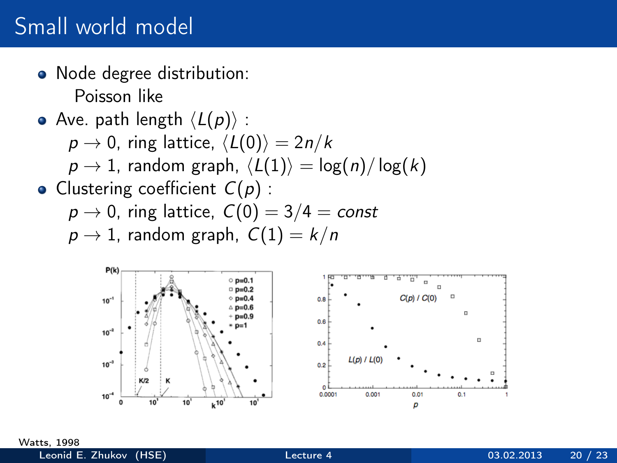## Small world model

- Node degree distribution: Poisson like
- Ave. path length  $\langle L(p) \rangle$  :

$$
p \to 0
$$
, ring lattice,  $\langle L(0) \rangle = 2n/k$ 

 $p \rightarrow 1$ , random graph,  $\langle L(1) \rangle = \log(n)/\log(k)$ 

• Clustering coefficient  $C(p)$  :

$$
\rho \rightarrow 0, \text{ ring lattice}, \; \mathcal{C}(0) = 3/4 = \textit{const}
$$

$$
p \to 1
$$
, random graph,  $C(1) = k/n$ 



Watts, 1998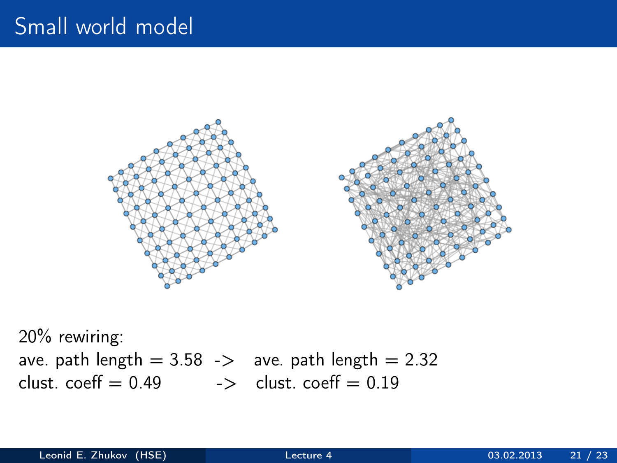## Small world model



20% rewiring: ave. path length  $= 3.58$  -> ave. path length  $= 2.32$ clust. coeff  $= 0.49$   $\rightarrow$  clust. coeff  $= 0.19$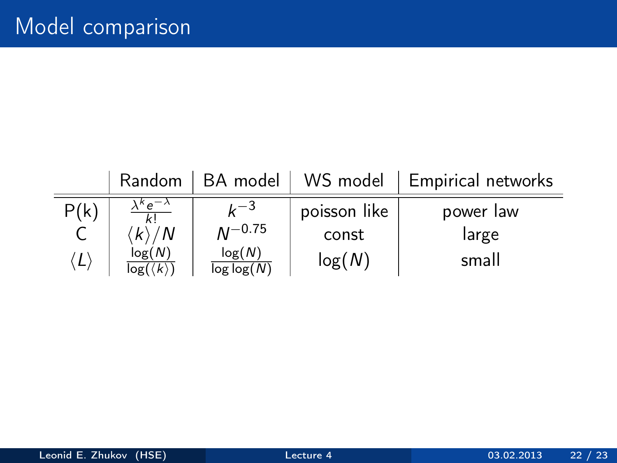